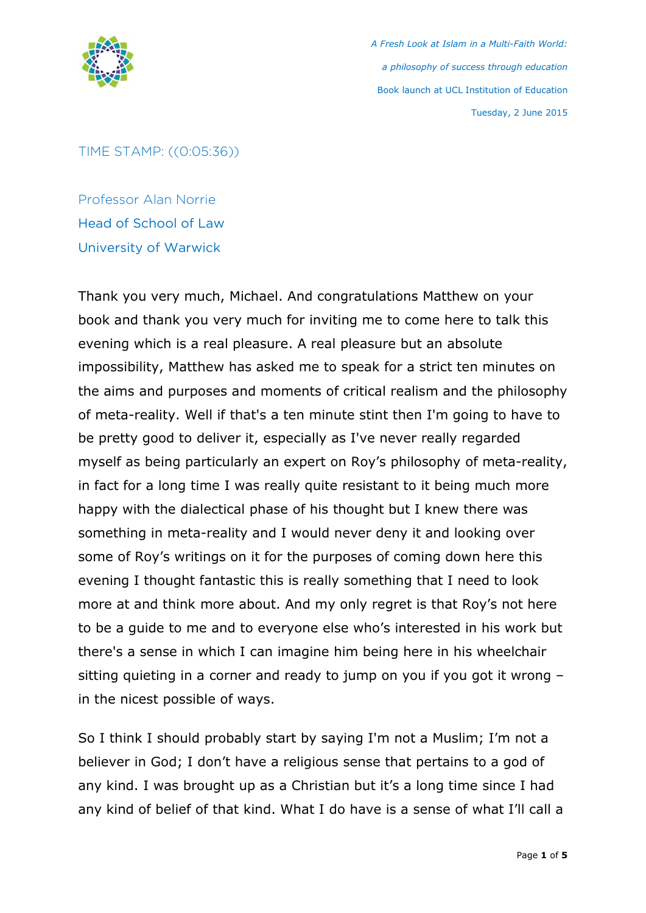

## TIME STAMP: ((0:05:36))

Professor Alan Norrie Head of School of Law University of Warwick

Thank you very much, Michael. And congratulations Matthew on your book and thank you very much for inviting me to come here to talk this evening which is a real pleasure. A real pleasure but an absolute impossibility, Matthew has asked me to speak for a strict ten minutes on the aims and purposes and moments of critical realism and the philosophy of meta-reality. Well if that's a ten minute stint then I'm going to have to be pretty good to deliver it, especially as I've never really regarded myself as being particularly an expert on Roy's philosophy of meta-reality, in fact for a long time I was really quite resistant to it being much more happy with the dialectical phase of his thought but I knew there was something in meta-reality and I would never deny it and looking over some of Roy's writings on it for the purposes of coming down here this evening I thought fantastic this is really something that I need to look more at and think more about. And my only regret is that Roy's not here to be a guide to me and to everyone else who's interested in his work but there's a sense in which I can imagine him being here in his wheelchair sitting quieting in a corner and ready to jump on you if you got it wrong – in the nicest possible of ways.

So I think I should probably start by saying I'm not a Muslim; I'm not a believer in God; I don't have a religious sense that pertains to a god of any kind. I was brought up as a Christian but it's a long time since I had any kind of belief of that kind. What I do have is a sense of what I'll call a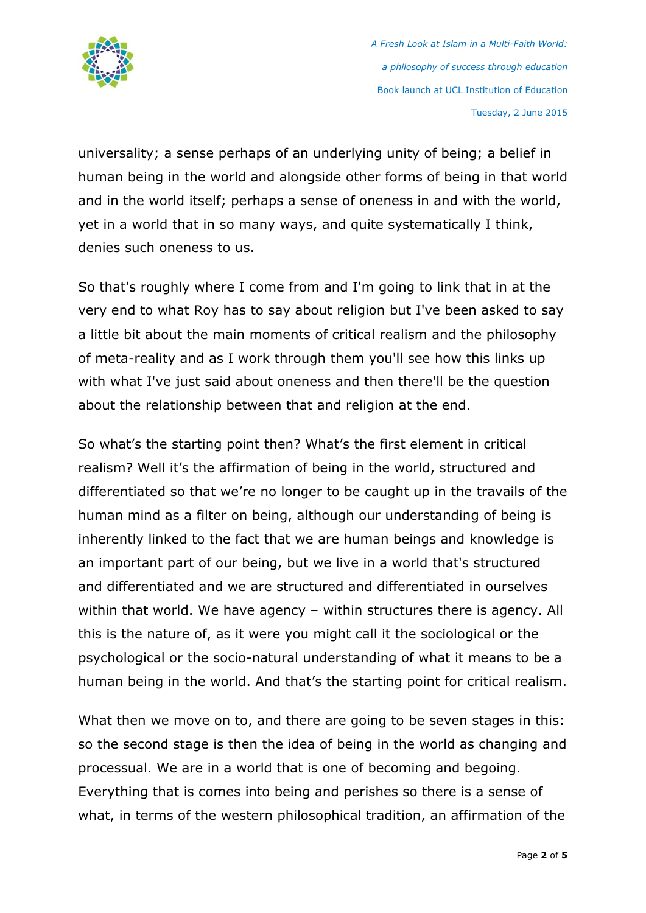

universality; a sense perhaps of an underlying unity of being; a belief in human being in the world and alongside other forms of being in that world and in the world itself; perhaps a sense of oneness in and with the world, yet in a world that in so many ways, and quite systematically I think, denies such oneness to us.

So that's roughly where I come from and I'm going to link that in at the very end to what Roy has to say about religion but I've been asked to say a little bit about the main moments of critical realism and the philosophy of meta-reality and as I work through them you'll see how this links up with what I've just said about oneness and then there'll be the question about the relationship between that and religion at the end.

So what's the starting point then? What's the first element in critical realism? Well it's the affirmation of being in the world, structured and differentiated so that we're no longer to be caught up in the travails of the human mind as a filter on being, although our understanding of being is inherently linked to the fact that we are human beings and knowledge is an important part of our being, but we live in a world that's structured and differentiated and we are structured and differentiated in ourselves within that world. We have agency – within structures there is agency. All this is the nature of, as it were you might call it the sociological or the psychological or the socio-natural understanding of what it means to be a human being in the world. And that's the starting point for critical realism.

What then we move on to, and there are going to be seven stages in this: so the second stage is then the idea of being in the world as changing and processual. We are in a world that is one of becoming and begoing. Everything that is comes into being and perishes so there is a sense of what, in terms of the western philosophical tradition, an affirmation of the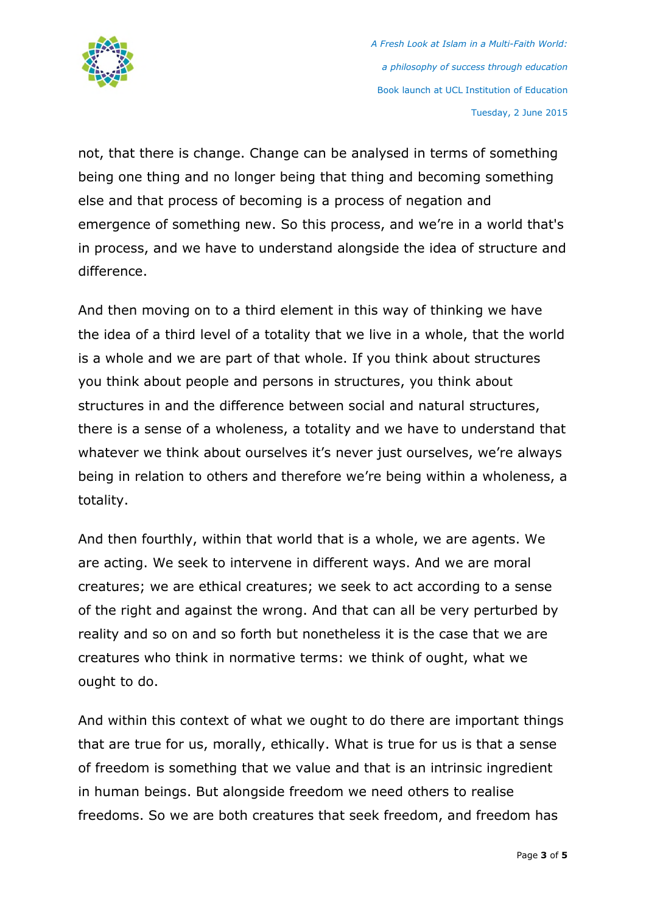

not, that there is change. Change can be analysed in terms of something being one thing and no longer being that thing and becoming something else and that process of becoming is a process of negation and emergence of something new. So this process, and we're in a world that's in process, and we have to understand alongside the idea of structure and difference.

And then moving on to a third element in this way of thinking we have the idea of a third level of a totality that we live in a whole, that the world is a whole and we are part of that whole. If you think about structures you think about people and persons in structures, you think about structures in and the difference between social and natural structures, there is a sense of a wholeness, a totality and we have to understand that whatever we think about ourselves it's never just ourselves, we're always being in relation to others and therefore we're being within a wholeness, a totality.

And then fourthly, within that world that is a whole, we are agents. We are acting. We seek to intervene in different ways. And we are moral creatures; we are ethical creatures; we seek to act according to a sense of the right and against the wrong. And that can all be very perturbed by reality and so on and so forth but nonetheless it is the case that we are creatures who think in normative terms: we think of ought, what we ought to do.

And within this context of what we ought to do there are important things that are true for us, morally, ethically. What is true for us is that a sense of freedom is something that we value and that is an intrinsic ingredient in human beings. But alongside freedom we need others to realise freedoms. So we are both creatures that seek freedom, and freedom has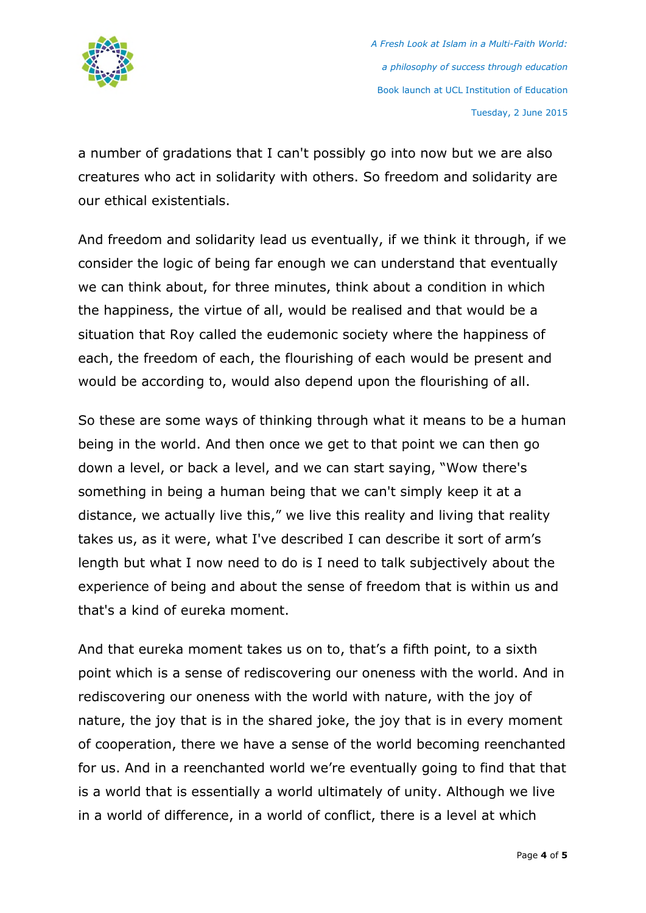

a number of gradations that I can't possibly go into now but we are also creatures who act in solidarity with others. So freedom and solidarity are our ethical existentials.

And freedom and solidarity lead us eventually, if we think it through, if we consider the logic of being far enough we can understand that eventually we can think about, for three minutes, think about a condition in which the happiness, the virtue of all, would be realised and that would be a situation that Roy called the eudemonic society where the happiness of each, the freedom of each, the flourishing of each would be present and would be according to, would also depend upon the flourishing of all.

So these are some ways of thinking through what it means to be a human being in the world. And then once we get to that point we can then go down a level, or back a level, and we can start saying, "Wow there's something in being a human being that we can't simply keep it at a distance, we actually live this," we live this reality and living that reality takes us, as it were, what I've described I can describe it sort of arm's length but what I now need to do is I need to talk subjectively about the experience of being and about the sense of freedom that is within us and that's a kind of eureka moment.

And that eureka moment takes us on to, that's a fifth point, to a sixth point which is a sense of rediscovering our oneness with the world. And in rediscovering our oneness with the world with nature, with the joy of nature, the joy that is in the shared joke, the joy that is in every moment of cooperation, there we have a sense of the world becoming reenchanted for us. And in a reenchanted world we're eventually going to find that that is a world that is essentially a world ultimately of unity. Although we live in a world of difference, in a world of conflict, there is a level at which